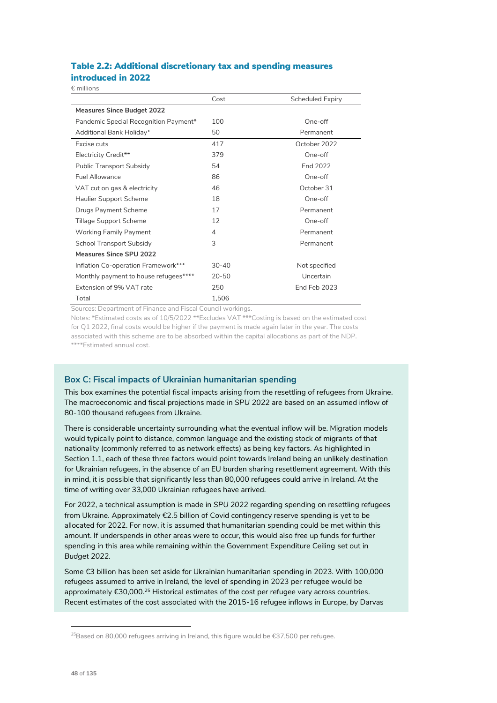## Table 2.2: Additional discretionary tax and spending measures introduced in 2022

€ millions

|                                       | Cost      | Scheduled Expiry |
|---------------------------------------|-----------|------------------|
| <b>Measures Since Budget 2022</b>     |           |                  |
| Pandemic Special Recognition Payment* | 100       | One-off          |
| Additional Bank Holiday*              | 50        | Permanent        |
| Excise cuts                           | 417       | October 2022     |
| Electricity Credit**                  | 379       | One-off          |
| Public Transport Subsidy              | 54        | End 2022         |
| <b>Fuel Allowance</b>                 | 86        | One-off          |
| VAT cut on gas & electricity          | 46        | October 31       |
| <b>Haulier Support Scheme</b>         | 18        | One-off          |
| Drugs Payment Scheme                  | 17        | Permanent        |
| <b>Tillage Support Scheme</b>         | 12        | One-off          |
| <b>Working Family Payment</b>         | 4         | Permanent        |
| <b>School Transport Subsidy</b>       | 3         | Permanent        |
| Measures Since SPU 2022               |           |                  |
| Inflation Co-operation Framework***   | $30 - 40$ | Not specified    |
| Monthly payment to house refugees**** | $20 - 50$ | Uncertain        |
| Extension of 9% VAT rate              | 250       | End Feb 2023     |
| Total                                 | 1,506     |                  |

Sources: Department of Finance and Fiscal Council workings.

Notes: \*Estimated costs as of 10/5/2022 \*\*Excludes VAT \*\*\*Costing is based on the estimated cost for Q1 2022, final costs would be higher if the payment is made again later in the year. The costs associated with this scheme are to be absorbed within the capital allocations as part of the NDP. \*\*\*\*Estimated annual cost.

## **Box C: Fiscal impacts of Ukrainian humanitarian spending**

This box examines the potential fiscal impacts arising from the resettling of refugees from Ukraine. The macroeconomic and fiscal projections made in *SPU 2022* are based on an assumed inflow of 80-100 thousand refugees from Ukraine.

There is considerable uncertainty surrounding what the eventual inflow will be. Migration models would typically point to distance, common language and the existing stock of migrants of that nationality (commonly referred to as network effects) as being key factors. As highlighted in Section 1.1, each of these three factors would point towards Ireland being an unlikely destination for Ukrainian refugees, in the absence of an EU burden sharing resettlement agreement. With this in mind, it is possible that significantly less than 80,000 refugees could arrive in Ireland. At the time of writing over 33,000 Ukrainian refugees have arrived.

For 2022, a technical assumption is made in *SPU 2022* regarding spending on resettling refugees from Ukraine. Approximately €2.5 billion of Covid contingency reserve spending is yet to be allocated for 2022. For now, it is assumed that humanitarian spending could be met within this amount. If underspends in other areas were to occur, this would also free up funds for further spending in this area while remaining within the Government Expenditure Ceiling set out in *Budget 2022.*

Some €3 billion has been set aside for Ukrainian humanitarian spending in 2023. With 100,000 refugees assumed to arrive in Ireland, the level of spending in 2023 per refugee would be approximately  $€30,000.^{25}$  Historical estimates of the cost per refugee vary across countries. Recent estimates of the cost associated with the 2015-16 refugee inflows in Europe, by Darvas

<sup>&</sup>lt;sup>25</sup>Based on 80,000 refugees arriving in Ireland, this figure would be €37,500 per refugee.